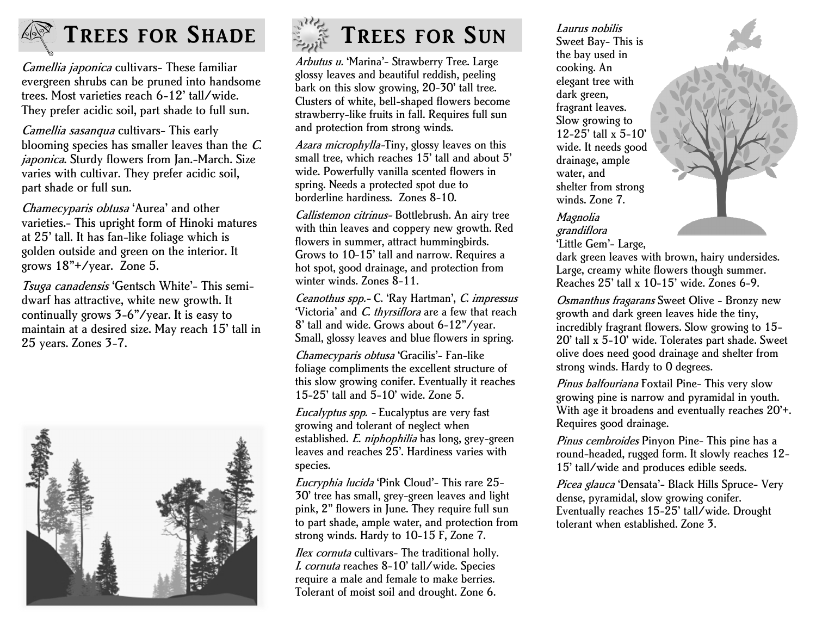

# **TREES FOR SHADE**

Camellia japonica cultivars- These familiar evergreen shrubs can be pruned into handsome trees. Most varieties reach 6-12' tall/wide. They prefer acidic soil, part shade to full sun.

Camellia sasanqua cultivars- This early blooming species has smaller leaves than the C. japonica. Sturdy flowers from Jan.-March. Size varies with cultivar. They prefer acidic soil, part shade or full sun.

Chamecyparis obtusa 'Aurea' and other varieties.- This upright form of Hinoki matures at 25' tall. It has fan-like foliage which is golden outside and green on the interior. It grows 18"+/year. Zone 5.

Tsuga canadensis 'Gentsch White'- This semidwarf has attractive, white new growth. It continually grows 3-6"/year. It is easy to maintain at a desired size. May reach 15' tall in 25 years. Zones 3-7.





Arbutus u. 'Marina'- Strawberry Tree. Large glossy leaves and beautiful reddish, peeling bark on this slow growing, 20-30' tall tree. Clusters of white, bell-shaped flowers become strawberry-like fruits in fall. Requires full sun and protection from strong winds.

Azara microphylla-Tiny, glossy leaves on this small tree, which reaches 15' tall and about 5' wide. Powerfully vanilla scented flowers in spring. Needs a protected spot due to borderline hardiness. Zones 8-10.

Callistemon citrinus- Bottlebrush. An airy tree with thin leaves and coppery new growth. Red flowers in summer, attract hummingbirds. Grows to 10-15' tall and narrow. Requires a hot spot, good drainage, and protection from winter winds. Zones 8-11.

Ceanothus spp.- C. 'Ray Hartman', C. impressus 'Victoria' and C. thyrsiflora are a few that reach 8' tall and wide. Grows about 6-12"/year. Small, glossy leaves and blue flowers in spring.

Chamecyparis obtusa 'Gracilis'- Fan-like foliage compliments the excellent structure of this slow growing conifer. Eventually it reaches 15-25' tall and 5-10' wide. Zone 5.

Eucalyptus spp. - Eucalyptus are very fast growing and tolerant of neglect when established. E. niphophilia has long, grey-green leaves and reaches 25'. Hardiness varies with species.

Eucryphia lucida 'Pink Cloud'- This rare 25- 30' tree has small, grey-green leaves and light pink, 2" flowers in June. They require full sun to part shade, ample water, and protection from strong winds. Hardy to 10-15 F, Zone 7.

Ilex cornuta cultivars- The traditional holly. I. cornuta reaches 8-10' tall/wide. Species require a male and female to make berries. Tolerant of moist soil and drought. Zone 6.

Laurus nobilis Sweet Bay- This is the bay used in cooking. An elegant tree with dark green, fragrant leaves. Slow growing to 12-25' tall x 5-10' wide. It needs good drainage, ample water, and shelter from strong winds. Zone 7.

Magnolia grandiflora 'Little Gem'- Large,



Osmanthus fragarans Sweet Olive - Bronzy new growth and dark green leaves hide the tiny, incredibly fragrant flowers. Slow growing to 15- 20' tall x 5-10' wide. Tolerates part shade. Sweet olive does need good drainage and shelter from strong winds. Hardy to 0 degrees.

Pinus balfouriana Foxtail Pine- This very slow growing pine is narrow and pyramidal in youth. With age it broadens and eventually reaches 20'+. Requires good drainage.

Pinus cembroides Pinyon Pine- This pine has a round-headed, rugged form. It slowly reaches 12- 15' tall/wide and produces edible seeds.

Picea glauca 'Densata'- Black Hills Spruce- Very dense, pyramidal, slow growing conifer. Eventually reaches 15-25' tall/wide. Drought tolerant when established. Zone 3.